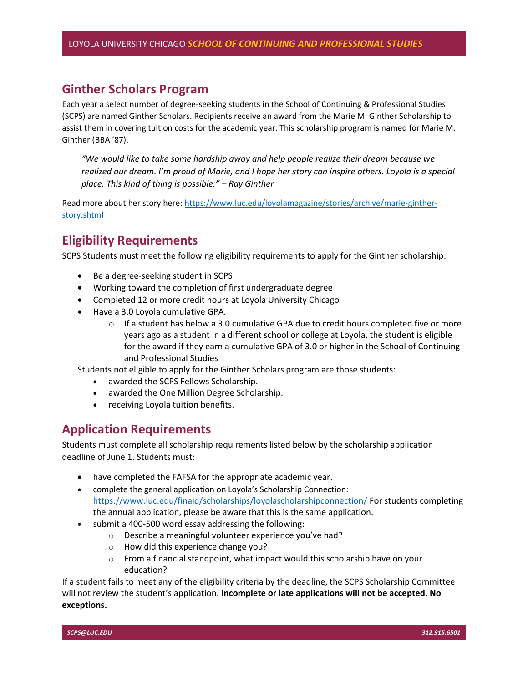### Ginther Scholars Program

Each year a select number of degree-seeking students in the School of Continuing & Professional Studies (SCPS) are named Ginther Scholars. Recipients receive an award from the Marie M. Ginther Scholarship to assist them in covering tuition costs for the academic year. This scholarship program is named for Marie M. Ginther (BBA '87).

"We would like to take some hardship away and help people realize their dream because we realized our dream. I'm proud of Marie, and I hope her story can inspire others. Loyola is a special place. This kind of thing is possible." – Ray Ginther

Read more about her story here: https://www.luc.edu/loyolamagazine/stories/archive/marie-gintherstory.shtml

### Eligibility Requirements

SCPS Students must meet the following eligibility requirements to apply for the Ginther scholarship:

- Be a degree-seeking student in SCPS
- Working toward the completion of first undergraduate degree
- Completed 12 or more credit hours at Loyola University Chicago
- Have a 3.0 Loyola cumulative GPA.
	- $\circ$  If a student has below a 3.0 cumulative GPA due to credit hours completed five or more years ago as a student in a different school or college at Loyola, the student is eligible for the award if they earn a cumulative GPA of 3.0 or higher in the School of Continuing and Professional Studies

Students not eligible to apply for the Ginther Scholars program are those students:

- awarded the SCPS Fellows Scholarship.
- awarded the One Million Degree Scholarship.
- receiving Loyola tuition benefits.

#### Application Requirements

Students must complete all scholarship requirements listed below by the scholarship application deadline of June 1. Students must:

- have completed the FAFSA for the appropriate academic year.
- complete the general application on Loyola's Scholarship Connection: https://www.luc.edu/finaid/scholarships/loyolascholarshipconnection/ For students completing the annual application, please be aware that this is the same application.
- submit a 400-500 word essay addressing the following:
	- o Describe a meaningful volunteer experience you've had?
	- o How did this experience change you?
	- $\circ$  From a financial standpoint, what impact would this scholarship have on your education?

If a student fails to meet any of the eligibility criteria by the deadline, the SCPS Scholarship Committee will not review the student's application. Incomplete or late applications will not be accepted. No exceptions.